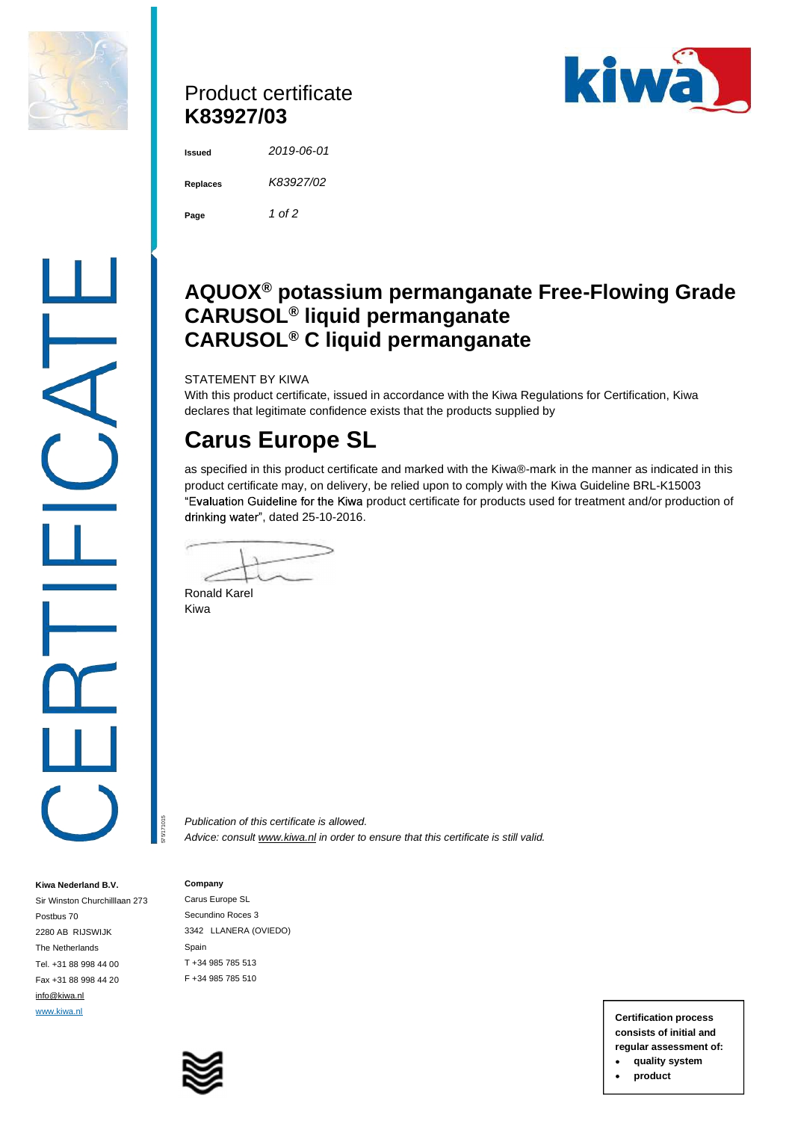

## Product certificate **K83927/03**



**Issued** *2019-06-01*  **Replaces** *K83927/02*  **Page** *1 of 2* 

## **AQUOX® potassium permanganate Free-Flowing Grade CARUSOL® liquid permanganate CARUSOL® C liquid permanganate**

STATEMENT BY KIWA

With this product certificate, issued in accordance with the Kiwa Regulations for Certification, Kiwa declares that legitimate confidence exists that the products supplied by

# **Carus Europe SL**

as specified in this product certificate and marked with the Kiwa®-mark in the manner as indicated in this product certificate may, on delivery, be relied upon to comply with the Kiwa Guideline BRL-K15003 "Evaluation Guideline for the Kiwa product certificate for products used for treatment and/or production of drinking water", dated 25-10-2016.

Ronald Karel Kiwa

*Publication of this certificate is allowed. Advice: consult [www.kiwa.nl](http://www.kiwa.nl) in order to ensure that this certificate is still valid.*

#### **Company**

575/171015

**Kiwa Nederland B.V.**  Sir Winston Churchilllaan 273

Postbus 70 2280 AB RIJSWIJK The Netherlands Tel. +31 88 998 44 00 Fax +31 88 998 44 20 [info@kiwa.nl](mailto:info@kiwa.nl)

Carus Europe SL Secundino Roces 3 3342 LLANERA (OVIEDO) Spain T +34 985 785 513 F +34 985 785 510



[www.kiwa.nl](http://www.kiwa.nl) **Certification process consists of initial and regular assessment of:** 

- **quality system**
- **product**